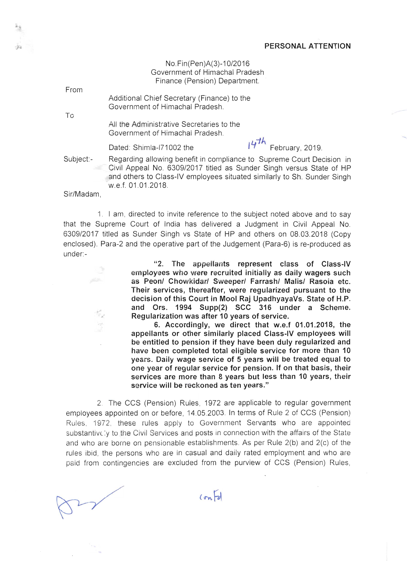No.Fin(Pen)A(3)-10/2016 Government of Himachal Pradesh Finance (Pension) Department.

From

..

Additional Chief Secretary (Finance) to the Government of Himachal Pradesh.

To

All the Administrative Secretaries to the Government of Himachal Pradesh.

*D1h.*  Dated: Shimla-171002 the h February, 2019.

Subject:- Regarding allowing benefit in compliance to Supreme Court Decision in Civil Appeal No. 6309/2017 titled as Sunder Singh versus State of **HP**  and others to Class-IV employees situated similarly to Sh. Sunder Singh w.e.f. 01.01.2018.

Sir/Madam,

1. I am , directed to invite reference to the subject noted above and to say that the Supreme Court of India has delivered a Judgment in Civil Appeal No. 6309/2017 titled as Sunder Singh vs State of **HP** and others on 08.03.2018 (Copy enclosed). Para-2 and the operative part of the Judgement (Para-6) is re-produced as under:-

> "2. **The appellants represent class of Class-IV employees who were recruited initially as daily wagers such as Peon! Chowkidar! Sweeper! Farrash! Malis! Rasoia etc. Their services, thereafter, were regularized pursuant to the decision of this Court in Mool Raj UpadhyayaVs. State of H.P. and Ors. 1994 Supp(2) SCC 316 under a Scheme. Regularization was after 10 years of service.**

> **6. Accordingly, we direct that w.e.f 01.01.2018, the appellants or other similarly placed Class-IV employees will be entitled to pension if they have been duly regularized and have been completed total eligible service for more than 10 years. Daily wage service of 5 years will be treated equal to one year of regular service for pension. If on that basis, their services are more than 8 years but less than 10 years, their service will be reckoned as ten years."**

2. **The** CCS (pension) Rules , 1972 are applicable to regular government employees appointed on or before, 14.05.2003. In terms of Rule 2 of CCS (Pension) Rules, 1972, these rules apply to Government Servants who are appointed substantivelly to the Civil Services and posts in connection with the affairs of the State and who are borne on pensionable establishments. As per Rule 2(b) and 2(c) of the rules ibid, the persons who are in casual and daily rated employment and who are paid from contingencies are excluded from the purview of CCS (Pension) Rules,

 $(m7)$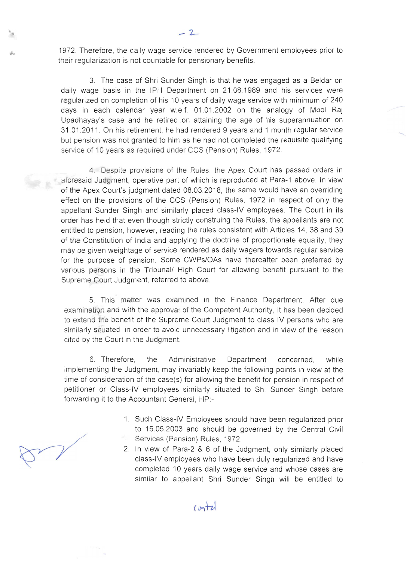1972. Therefore, the daily wage service rendered by Government employees prior to their regularization is not countable for pensionary benefits.

3. The case of Shri Sunder Singh is that he was engaged as a Beldar on daily wage basis in the IPH Department on 21.08.1989 and his services were regularized on completion of his 10 years of daily wage service with minimum of 240 days in each calendar year w.e.f. 01 .01 .2002 on the analogy of Mool Raj Upadhayay's case and he retired on attaining the age of his superannuation on 31.01.2011 . On his retirement, he had rendered 9 years and 1 month regular service but pension was not granted to him as he had not completed the requisite qualifying service of 10 years as required under CCS (Pension) Rules, 1972.

4. Despite provisions of the Rules, the Apex Court has passed orders in aforesaid Judgment, operative part of which is reproduced at Para-1 above. In view of the Apex Court's judgment dated 08.03.2018, the same would have an overriding effect on the provisions of the CCS (Pension) Rules, 1972 in respect of only the appellant Sunder Singh and similarly placed class-IV employees. The Court in its order has held that even though strictly construing the Rules, the appellants are not entitled to pension, however, reading the rules consistent with Articles 14, 38 and 39 of the Constitution of India and applying the doctrine of proportionate equality, they may be given weightage of service rendered as daily wagers towards regular service for the purpose of pension. Some CWPs/OAs have thereafter been preferred by various persons in the Tribunal/ High Court for allowing benefit pursuant to the Supreme Court Judgment, referred to above.

5. This matter was examined in the Finance Department. After due examination and with the approval of the Competent Authority , it has been decided to extend the benefit of the Supreme Court Judgment to class IV persons who are similarly situated, in order to avoid unnecessary litigation and in view of the reason cited by the Court in the Judgment.

6. Therefore, the Administrative Department concerned, while implementing the Judgment, may invariably keep the following points in view at the time of consideration of the case(s) for allowing the benefit for pension in respect of petitioner or Class-IV employees similarly situated to Sh. Sunder Singh before forwarding it to the Accountant General, HP:-

- 1. Such Class-IV Employees should have been regularized prior to 15.05.2003 and should be governed by the Central Civil Services (Pension) Rules, 1972.
- 2. In view of Para-2 & 6 of the Judgment, only similarly placed class-IV employees who have been duly regularized and have completed 10 years daily wage service and whose cases are similar to appellant Shri Sunder Singh will be entitled to

 $m + 2$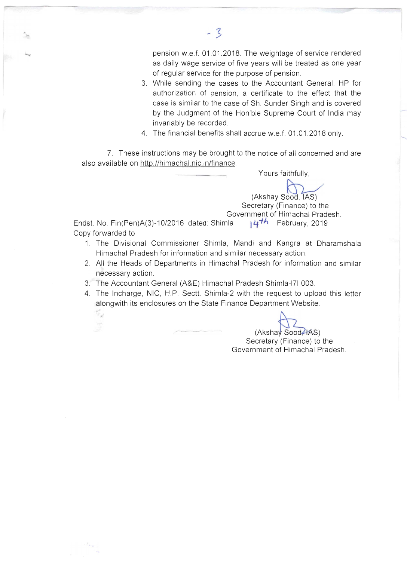pension w.e.f. 01 .01.2018. The weightage of service rendered as daily wage service of five years will be treated as one year of regular service for the purpose of pension.

- 3. While sending the cases to the Accountant General, HP for authorization of pension, a certificate to the effect that the case is similar to the case of Sh. Sunder Singh and is covered by the Judgment of the Hon'ble Supreme Court of India may invariably be recorded .
- 4. The financial benefits shall accrue w.e.f. 01 .01.2018 only.

7. These instructions may be brought to the notice of all concerned and are also available on http://himachal.nic.in/finance.

Yours faithfully,

Yours faithfully,<br>Akshay Sood 1AS) (Akshay Sood, TAS)<br>Secretary (Finance) to the Government of Himachal Pradesh.

Endst. No. Fin(Pen)A(3)-10/2016 dated: Shimla **14-1A** February, 2019 Copy forwarded to:

 $\mathcal{L}_{\mathbf{z}^{\prime}}$  $\frac{1}{2}$ 

 $-3$ 

- 1. The Divisional Commissioner Shimla, Mandi and Kangra at Dharamshala Himachal Pradesh for information and similar necessary action.
- 2. All the Heads of Departments in Himachal Pradesh for information and similar necessary action.
- 3. The Accountant General (A&E) Himachal Pradesh Shimla-171 003.
- 4. The Incharge, NIC, H.P. Sectt. Shimla-2 with the request to upload this letter alongwith its enclosures on the State Finance Department Website.

 $(Akshay$  Sood $AAS)$ 

Secretary (Finance) to the Government of Himachal Pradesh.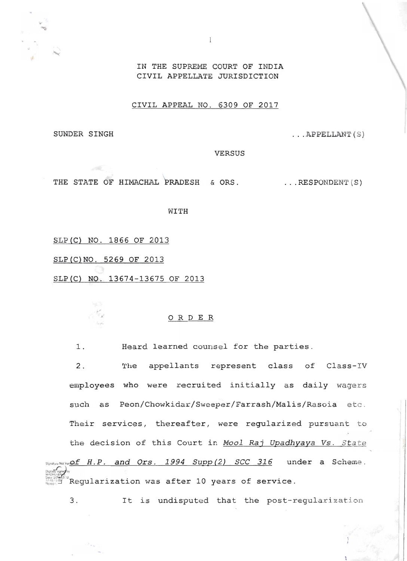

IN THE SUPREME COURT OF INDIA CIVIL APPELLATE JURISDICTION

CIVIL APPEAL NO. 6309 OF 2017

SUNDER SINGH

... APPELLANT (S )

VERSUS

THE STATE OF HIMACHAL PRADESH & ORS. ... RESPONDENT (S)

WITH

SLP(C} NO. 1866 OF 2013

SLP(C}NO. 5269 OF 2013

\$LP(C} NO. 13674-13675 OF 2013

## o R D E R

1. Heard learned counsel for the parties.

2. The appellants represent class of Class-IV employees who were recruited initially as daily wagers such as Peon/Chowkidar/Sweeper/Farrash/Malis/Rasoia etc. Their services, thereafter, were regularized pursuant to the decision of this Court in *Mool Raj Upadhyaya Vs. State* stra and *Ors.* 1994 *Supp (2) SCC 316* under a Scheme.  $g$ itally signed by DHU BALA Regularization was after 10 years of service.

3. It is undisputed that the post-regularization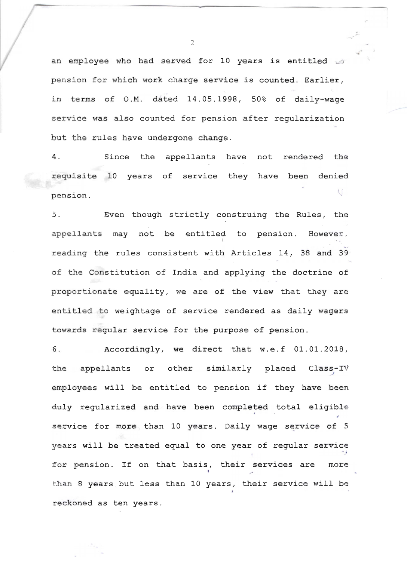an employee who had served for 10 years is entitled in pension for which work charge service is counted. Earlier, in terms of O.M. dated 14.05.1998, 50% of daily-wage service was also counted for pension after regularization but the rules have undergone change.

4. Since the appellants have not rendered the requisite 10 years of service they have been denied  $\mathcal{U}$ pension.

5. Even though strictly construing the Rules, the appellants may not be entitled to pension. However, t, reading the rules consistent with Articles 14, 38 and <sup>39</sup> of the Constitution of India and applying the doctrine of proportionate equality, we are of the view that they are entitled to weightage of service rendered as daily wagers towards regular service for the purpose of pension.

<sup>6</sup> . Accordingly, we direct that w.e.f 01.01.2018, the appellants or other similarly placed Class-IV *.-J*  employees will be entitled to pension if they have been duly regularized and have been completed total eligible service for more than 10 years. Daily wage service of 5 years will be treated equal to one year of regular service for pension. If on that basis, their services are more than 8 years but less than 10 years, their service will be reckoned as ten years.

2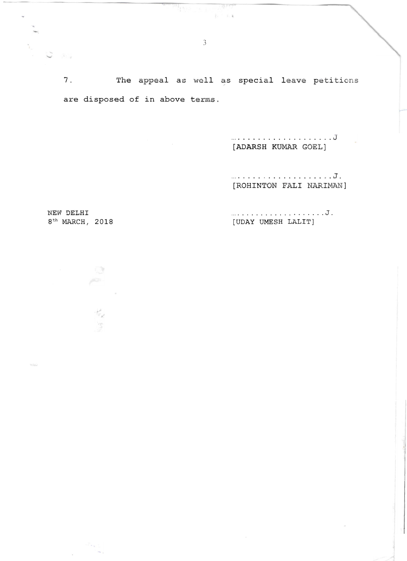7. The appeal as well as special leave petitions are disposed of in above terms.

> .. .................... J [ADARSH KUMAR GOEL]

........ . ............. J. [ROHlNTON FALl NARlMAN]

NEW DELHI  $\ldots \ldots \ldots \ldots \ldots \ldots \ldots$ 8<sup>th</sup> MARCH, 2018 [UDAY UMESH LALIT]

후

 $\frac{1}{N} \rho$  $\frac{1}{2}$ 

 $\sim$   $\sim$ 

 $\infty$ 

Aria

 $\mathbf{b} = -\mathbf{b}$  .  $\mathbf{k}$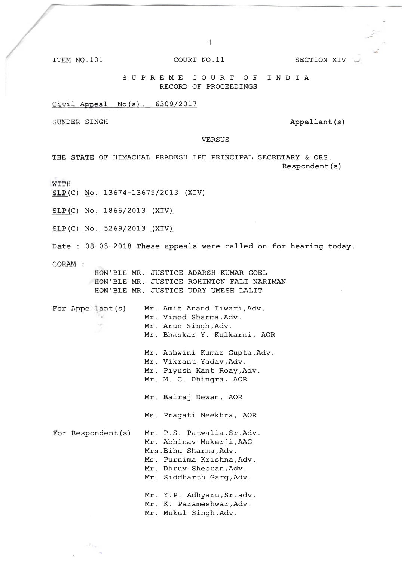ITEM NO.101 COURT NO.11 SECTION XIV

4

SUP REME COURT OF INDIA RECORD OF PROCEEDINGS

Civil Appeal No(s). 6309/2017

SUNDER SINGH Appellant (s)

VERSUS

THE STATE OF HIMACHAL PRADESH IPH PRINCIPAL SECRETARY & ORS. Respondent(s)

WITH

SLP(C) No. 13674-13675/2013 (XIV)

SLP(C) No. 1866/2013 (XIV)

SLP(C) No. 5269/2013 (XIV)

Date : 08-03-2018 These appeals were called on for hearing today.

CORAM :

HON'BLE MR. JUSTICE ADARSH KUMAR GOEL HON'BLE MR. JUSTICE ROHINTON FALl NARlMAN HON'BLE MR. JUSTICE UDAY UMESH LALIT

| For Appellant(s)   | Mr. Amit Anand Tiwari, Adv.<br>Mr. Vinod Sharma, Adv.<br>Mr. Arun Singh, Adv.<br>Mr. Bhaskar Y. Kulkarni, AOR                                                        |
|--------------------|----------------------------------------------------------------------------------------------------------------------------------------------------------------------|
|                    | Mr. Ashwini Kumar Gupta, Adv.<br>Mr. Vikrant Yadav, Adv.<br>Mr. Piyush Kant Roay, Adv.<br>Mr. M. C. Dhingra, AOR                                                     |
|                    | Mr. Balraj Dewan, AOR<br>Ms. Pragati Neekhra, AOR                                                                                                                    |
| For Respondent (s) | Mr. P.S. Patwalia, Sr.Adv.<br>Mr. Abhinav Mukerji, AAG<br>Mrs. Bihu Sharma, Adv.<br>Ms. Purnima Krishna, Adv.<br>Mr. Dhruv Sheoran, Adv.<br>Mr. Siddharth Garg, Adv. |
|                    | Mr. Y.P. Adhyaru, Sr.adv.<br>Mr. K. Parameshwar, Adv.<br>Mr. Mukul Singh, Adv.                                                                                       |